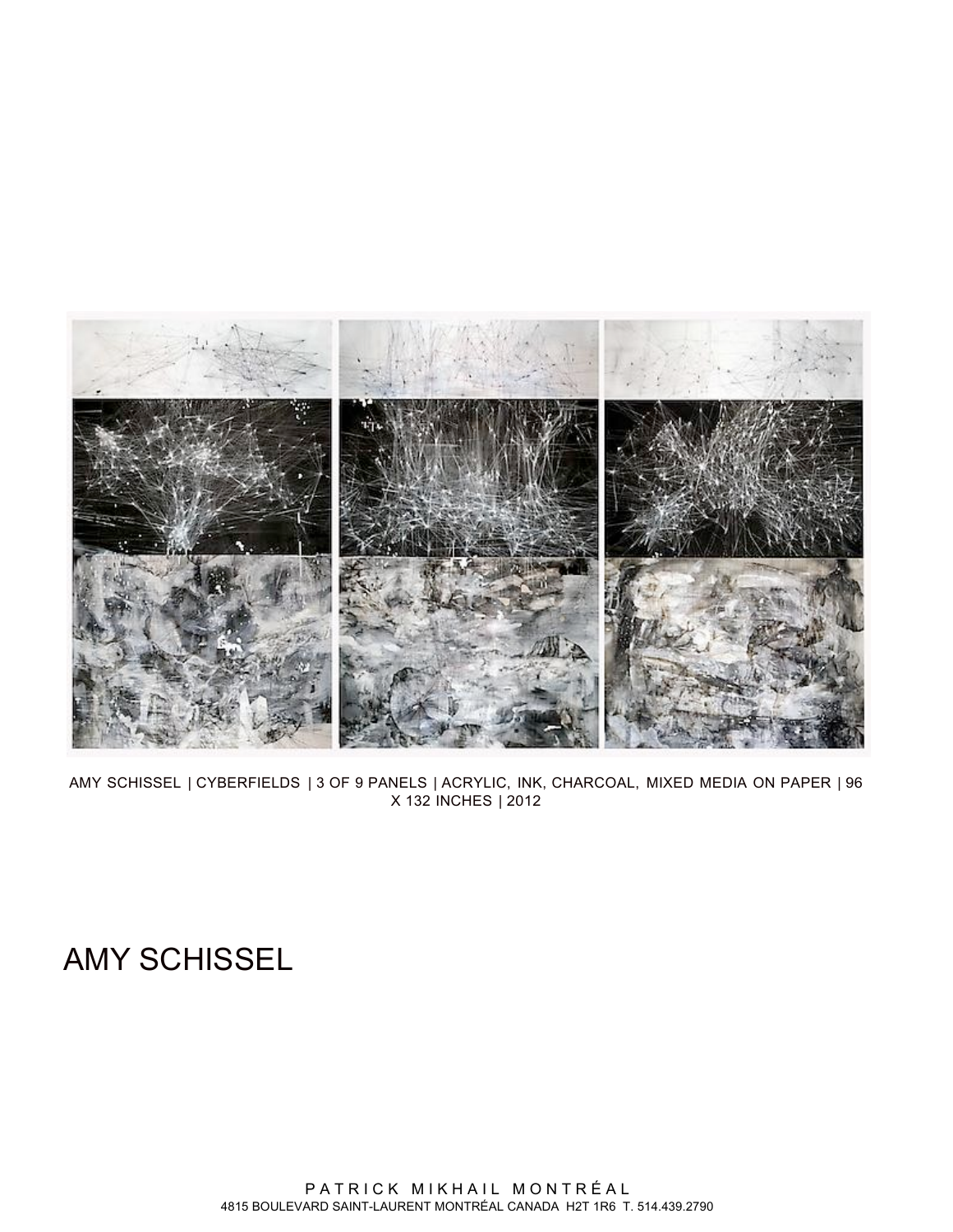

AMY SCHISSEL | CYBERFIELDS | 3 OF 9 PANELS | ACRYLIC, INK, CHARCOAL, MIXED MEDIA ON PAPER | 96 X 132 INCHES | 2012

# AMY SCHISSEL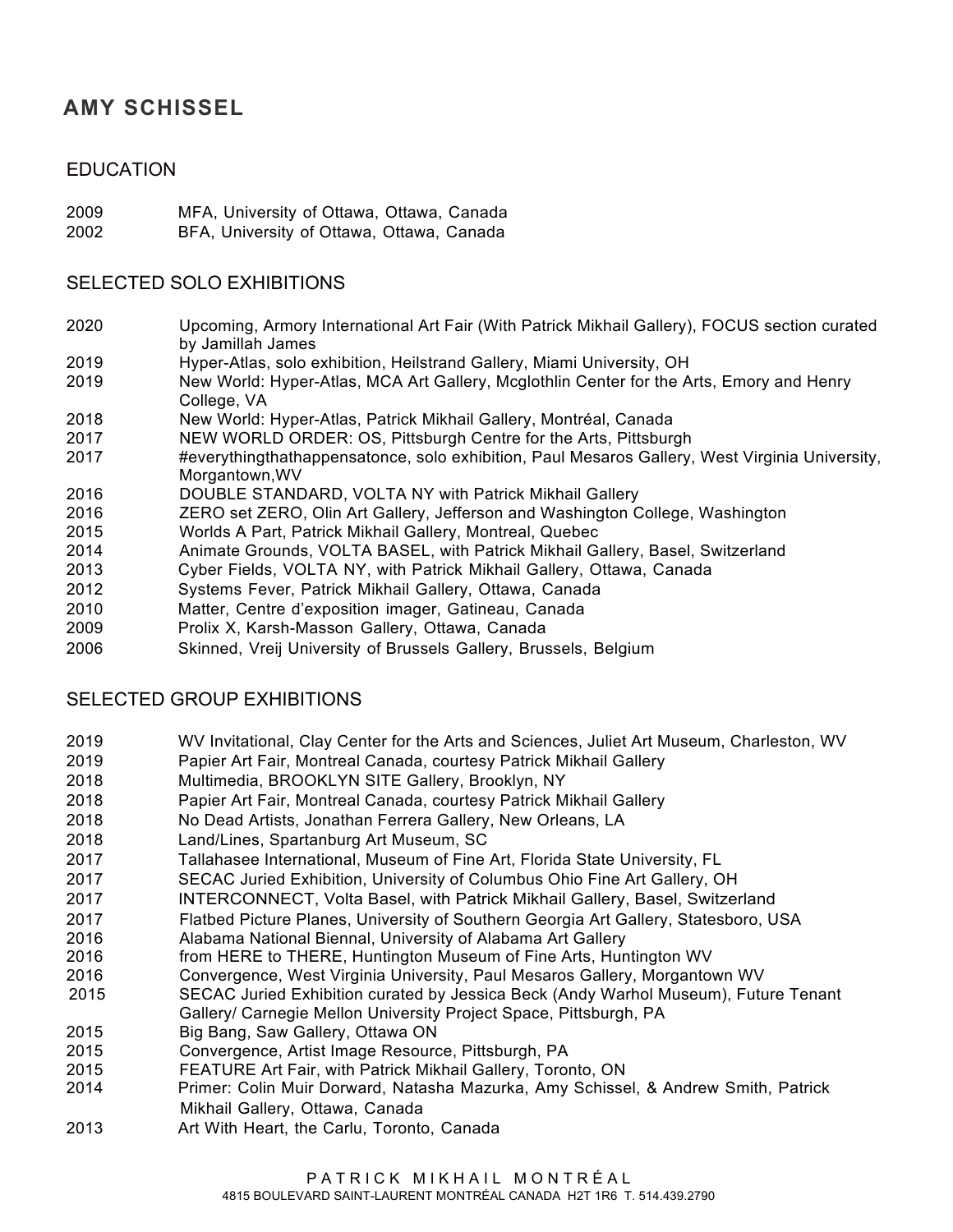## **AMY SCHISSEL**

### EDUCATION

2009 MFA, University of Ottawa, Ottawa, Canada

2002 BFA, University of Ottawa, Ottawa, Canada

#### SELECTED SOLO EXHIBITIONS

- 2020 Upcoming, Armory International Art Fair (With Patrick Mikhail Gallery), FOCUS section curated by Jamillah James
- 2019 Hyper-Atlas, solo exhibition, Heilstrand Gallery, Miami University, OH
- 2019 New World: Hyper-Atlas, MCA Art Gallery, Mcglothlin Center for the Arts, Emory and Henry College, VA
- 2018 New World: Hyper-Atlas, Patrick Mikhail Gallery, Montréal, Canada
- 2017 NEW WORLD ORDER: OS, Pittsburgh Centre for the Arts, Pittsburgh
- 2017 #everythingthathappensatonce, solo exhibition, Paul Mesaros Gallery, West Virginia University, Morgantown,WV
- 2016 DOUBLE STANDARD, VOLTA NY with Patrick Mikhail Gallery
- 2016 ZERO set ZERO, Olin Art Gallery, Jefferson and Washington College, Washington
- 2015 Worlds A Part, Patrick Mikhail Gallery, Montreal, Quebec
- 2014 Animate Grounds, VOLTA BASEL, with Patrick Mikhail Gallery, Basel, Switzerland
- 2013 Cyber Fields, VOLTA NY, with Patrick Mikhail Gallery, Ottawa, Canada
- 2012 Systems Fever, Patrick Mikhail Gallery, Ottawa, Canada
- 2010 Matter, Centre d'exposition imager, Gatineau, Canada
- 2009 Prolix X, Karsh-Masson Gallery, Ottawa, Canada
- 2006 Skinned, Vreij University of Brussels Gallery, Brussels, Belgium

#### SELECTED GROUP EXHIBITIONS

- 2019 WV Invitational, Clay Center for the Arts and Sciences, Juliet Art Museum, Charleston, WV
- 2019 Papier Art Fair, Montreal Canada, courtesy Patrick Mikhail Gallery
- 2018 Multimedia, BROOKLYN SITE Gallery, Brooklyn, NY
- 2018 Papier Art Fair, Montreal Canada, courtesy Patrick Mikhail Gallery
- 2018 No Dead Artists, Jonathan Ferrera Gallery, New Orleans, LA
- 2018 Land/Lines, Spartanburg Art Museum, SC
- 2017 Tallahasee International, Museum of Fine Art, Florida State University, FL
- 2017 SECAC Juried Exhibition, University of Columbus Ohio Fine Art Gallery, OH
- 2017 INTERCONNECT, Volta Basel, with Patrick Mikhail Gallery, Basel, Switzerland
- 2017 Flatbed Picture Planes, University of Southern Georgia Art Gallery, Statesboro, USA
- 2016 Alabama National Biennal, University of Alabama Art Gallery
- 2016 from HERE to THERE, Huntington Museum of Fine Arts, Huntington WV
- 2016 Convergence, West Virginia University, Paul Mesaros Gallery, Morgantown WV
- 2015 SECAC Juried Exhibition curated by Jessica Beck (Andy Warhol Museum), Future Tenant
- Gallery/ Carnegie Mellon University Project Space, Pittsburgh, PA
- 2015 Big Bang, Saw Gallery, Ottawa ON
- 2015 Convergence, Artist Image Resource, Pittsburgh, PA
- 2015 FEATURE Art Fair, with Patrick Mikhail Gallery, Toronto, ON
- 2014 Primer: Colin Muir Dorward, Natasha Mazurka, Amy Schissel, & Andrew Smith, Patrick Mikhail Gallery, Ottawa, Canada
- 2013 Art With Heart, the Carlu, Toronto, Canada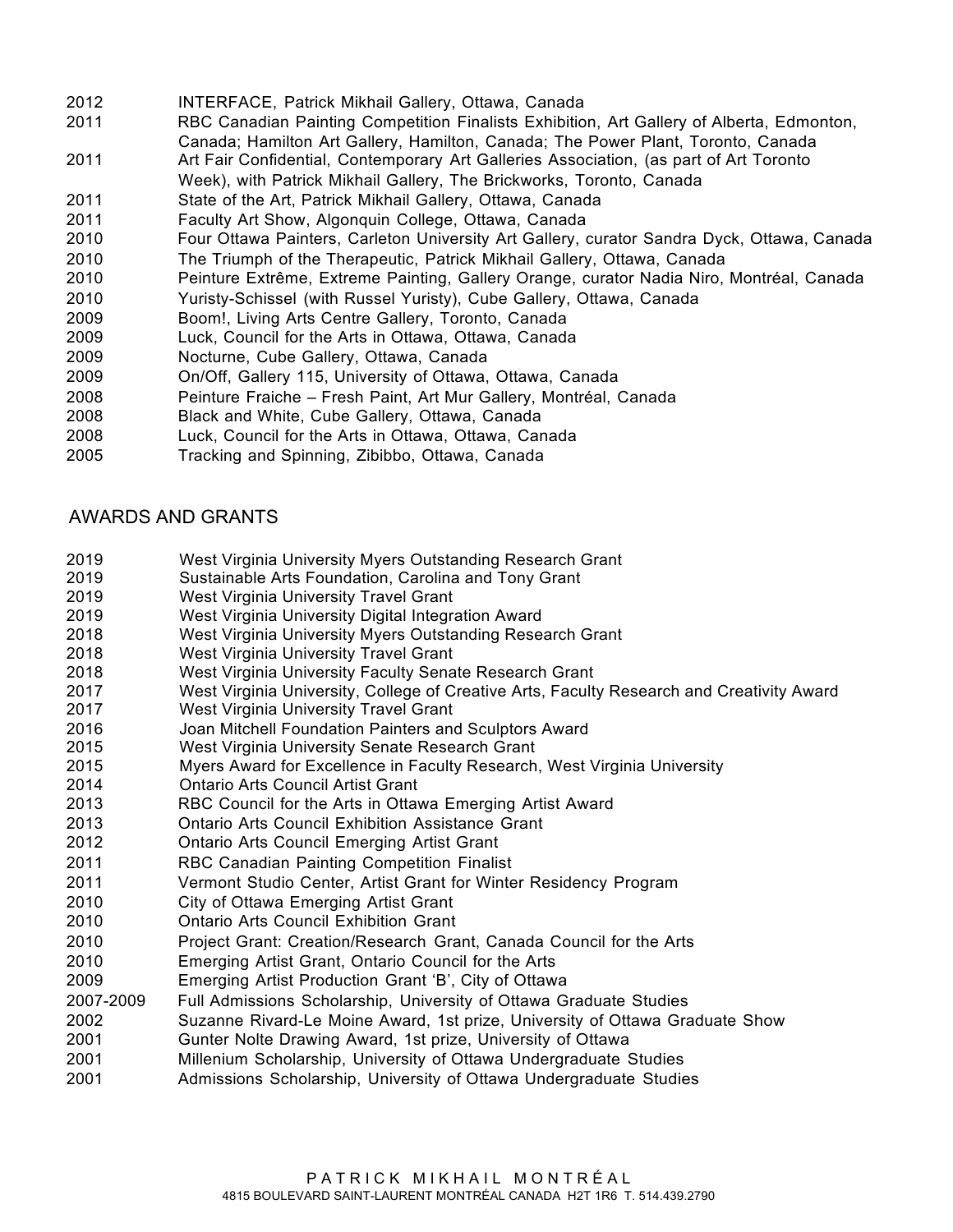- 2012 INTERFACE, Patrick Mikhail Gallery, Ottawa, Canada
- 2011 RBC Canadian Painting Competition Finalists Exhibition, Art Gallery of Alberta, Edmonton, Canada; Hamilton Art Gallery, Hamilton, Canada; The Power Plant, Toronto, Canada
- 2011 Art Fair Confidential, Contemporary Art Galleries Association, (as part of Art Toronto Week), with Patrick Mikhail Gallery, The Brickworks, Toronto, Canada
- 2011 State of the Art, Patrick Mikhail Gallery, Ottawa, Canada
- 2011 Faculty Art Show, Algonquin College, Ottawa, Canada
- 2010 Four Ottawa Painters, Carleton University Art Gallery, curator Sandra Dyck, Ottawa, Canada 2010 The Triumph of the Therapeutic, Patrick Mikhail Gallery, Ottawa, Canada
- 2010 Peinture Extrême, Extreme Painting, Gallery Orange, curator Nadia Niro, Montréal, Canada
- 2010 Yuristy-Schissel (with Russel Yuristy), Cube Gallery, Ottawa, Canada
- 2009 Boom!, Living Arts Centre Gallery, Toronto, Canada
- 2009 Luck, Council for the Arts in Ottawa, Ottawa, Canada
- 2009 Nocturne, Cube Gallery, Ottawa, Canada
- 2009 On/Off, Gallery 115, University of Ottawa, Ottawa, Canada
- 2008 Peinture Fraiche Fresh Paint, Art Mur Gallery, Montréal, Canada
- 2008 Black and White, Cube Gallery, Ottawa, Canada
- 2008 Luck, Council for the Arts in Ottawa, Ottawa, Canada
- 2005 Tracking and Spinning, Zibibbo, Ottawa, Canada

#### AWARDS AND GRANTS

- 2019 West Virginia University Myers Outstanding Research Grant
- 2019 Sustainable Arts Foundation, Carolina and Tony Grant
- 2019 West Virginia University Travel Grant
- 2019 West Virginia University Digital Integration Award
- 2018 West Virginia University Myers Outstanding Research Grant
- 2018 West Virginia University Travel Grant
- 2018 West Virginia University Faculty Senate Research Grant
- 2017 West Virginia University, College of Creative Arts, Faculty Research and Creativity Award
- 2017 West Virginia University Travel Grant
- 2016 Joan Mitchell Foundation Painters and Sculptors Award
- 2015 West Virginia University Senate Research Grant
- 2015 Myers Award for Excellence in Faculty Research, West Virginia University
- 2014 Ontario Arts Council Artist Grant
- 2013 RBC Council for the Arts in Ottawa Emerging Artist Award
- 2013 Ontario Arts Council Exhibition Assistance Grant
- 2012 Ontario Arts Council Emerging Artist Grant
- 2011 RBC Canadian Painting Competition Finalist
- 2011 Vermont Studio Center, Artist Grant for Winter Residency Program
- 2010 City of Ottawa Emerging Artist Grant
- 2010 Ontario Arts Council Exhibition Grant
- 2010 Project Grant: Creation/Research Grant, Canada Council for the Arts
- 2010 Emerging Artist Grant, Ontario Council for the Arts
- 2009 Emerging Artist Production Grant 'B', City of Ottawa
- 2007-2009 Full Admissions Scholarship, University of Ottawa Graduate Studies
- 2002 Suzanne Rivard-Le Moine Award, 1st prize, University of Ottawa Graduate Show
- 2001 Gunter Nolte Drawing Award, 1st prize, University of Ottawa
- 2001 Millenium Scholarship, University of Ottawa Undergraduate Studies
- 2001 Admissions Scholarship, University of Ottawa Undergraduate Studies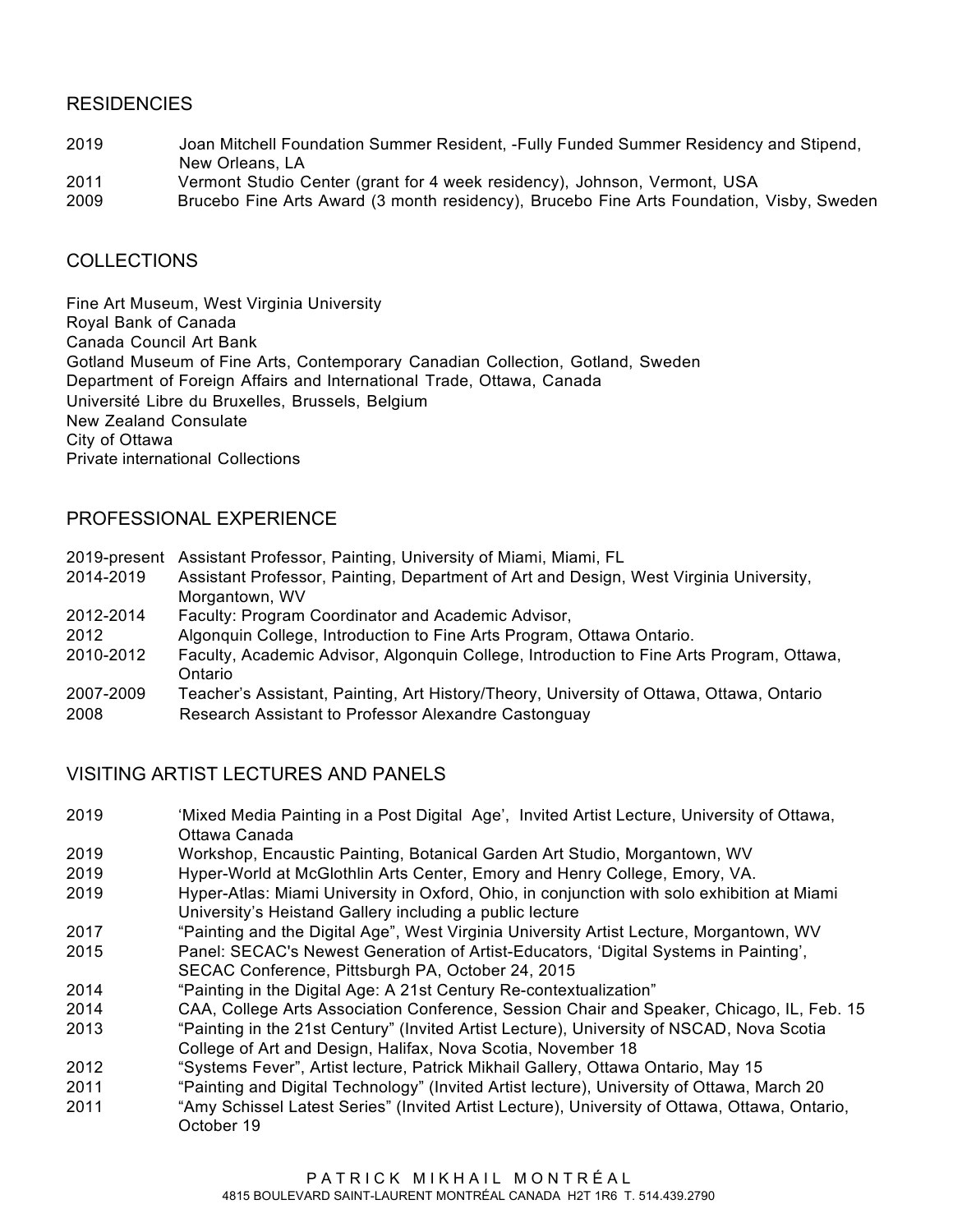#### **RESIDENCIES**

- 2019 Joan Mitchell Foundation Summer Resident, -Fully Funded Summer Residency and Stipend, New Orleans, LA
- 2011 Vermont Studio Center (grant for 4 week residency), Johnson, Vermont, USA
- 2009 Brucebo Fine Arts Award (3 month residency), Brucebo Fine Arts Foundation, Visby, Sweden

#### **COLLECTIONS**

Fine Art Museum, West Virginia University Royal Bank of Canada Canada Council Art Bank Gotland Museum of Fine Arts, Contemporary Canadian Collection, Gotland, Sweden Department of Foreign Affairs and International Trade, Ottawa, Canada Université Libre du Bruxelles, Brussels, Belgium New Zealand Consulate City of Ottawa Private international Collections

#### PROFESSIONAL EXPERIENCE

| 2019-present | Assistant Professor, Painting, University of Miami, Miami, FL                            |
|--------------|------------------------------------------------------------------------------------------|
| 2014-2019    | Assistant Professor, Painting, Department of Art and Design, West Virginia University,   |
|              | Morgantown, WV                                                                           |
| 2012-2014    | Faculty: Program Coordinator and Academic Advisor,                                       |
| 2012         | Algonquin College, Introduction to Fine Arts Program, Ottawa Ontario.                    |
| 2010-2012    | Faculty, Academic Advisor, Algonguin College, Introduction to Fine Arts Program, Ottawa, |
|              | Ontario                                                                                  |
| 2007-2009    | Teacher's Assistant, Painting, Art History/Theory, University of Ottawa, Ottawa, Ontario |
| 2008         | Research Assistant to Professor Alexandre Castonguay                                     |

## VISITING ARTIST LECTURES AND PANELS

- 2019 'Mixed Media Painting in a Post Digital Age', Invited Artist Lecture, University of Ottawa, Ottawa Canada
- 2019 Workshop, Encaustic Painting, Botanical Garden Art Studio, Morgantown, WV
- 2019 Hyper-World at McGlothlin Arts Center, Emory and Henry College, Emory, VA.
- 2019 Hyper-Atlas: Miami University in Oxford, Ohio, in conjunction with solo exhibition at Miami University's Heistand Gallery including a public lecture
- 2017 "Painting and the Digital Age", West Virginia University Artist Lecture, Morgantown, WV
- 2015 Panel: SECAC's Newest Generation of Artist-Educators, 'Digital Systems in Painting',
- SECAC Conference, Pittsburgh PA, October 24, 2015
- 2014 "Painting in the Digital Age: A 21st Century Re-contextualization"
- 2014 CAA, College Arts Association Conference, Session Chair and Speaker, Chicago, IL, Feb. 15
- 2013 "Painting in the 21st Century" (Invited Artist Lecture), University of NSCAD, Nova Scotia College of Art and Design, Halifax, Nova Scotia, November 18
- 2012 "Systems Fever", Artist lecture, Patrick Mikhail Gallery, Ottawa Ontario, May 15
- 2011 "Painting and Digital Technology" (Invited Artist lecture), University of Ottawa, March 20
- 2011 "Amy Schissel Latest Series" (Invited Artist Lecture), University of Ottawa, Ottawa, Ontario, October 19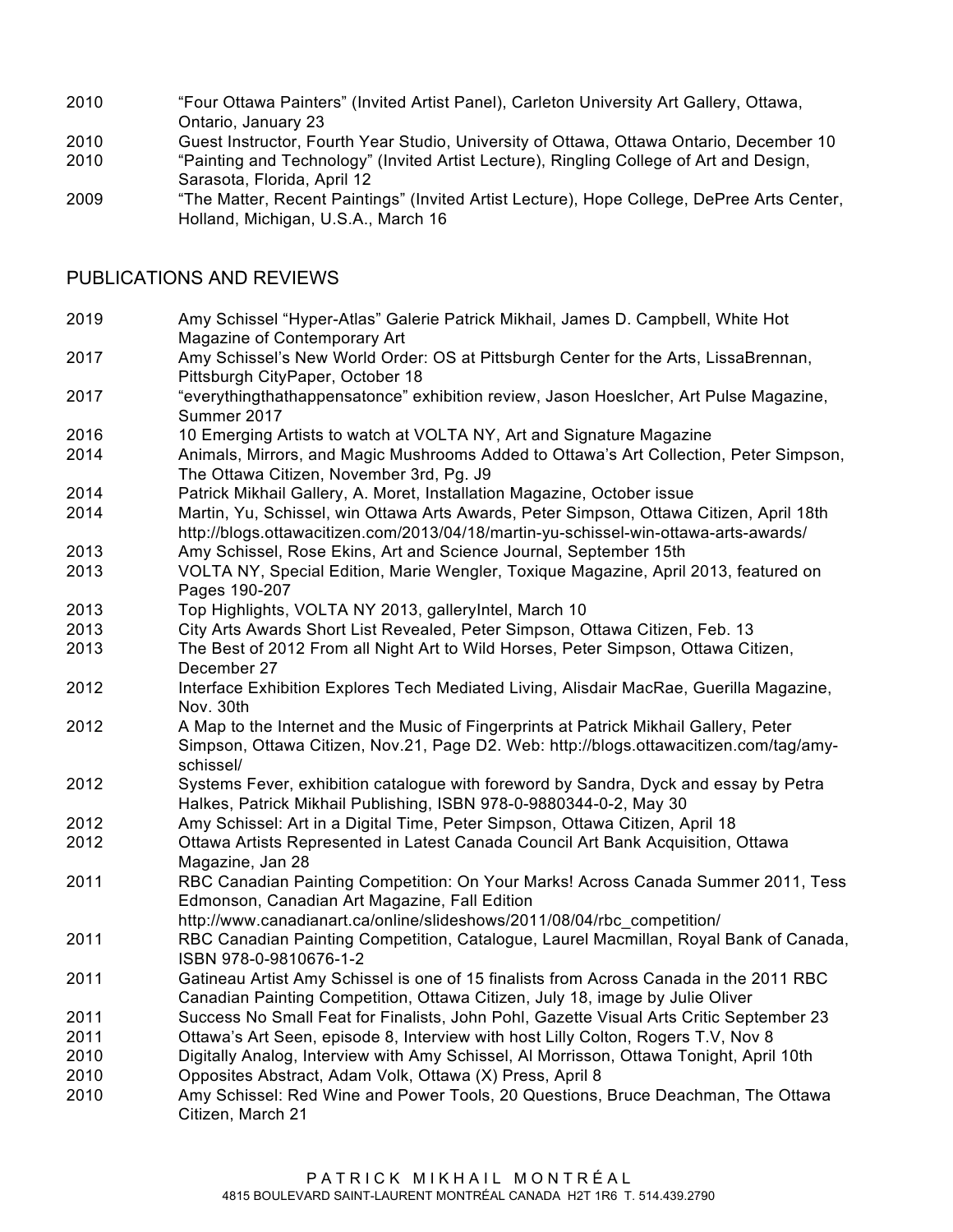- 2010 "Four Ottawa Painters" (Invited Artist Panel), Carleton University Art Gallery, Ottawa, Ontario, January 23
- 2010 Guest Instructor, Fourth Year Studio, University of Ottawa, Ottawa Ontario, December 10
- 2010 "Painting and Technology" (Invited Artist Lecture), Ringling College of Art and Design, Sarasota, Florida, April 12
- 2009 "The Matter, Recent Paintings" (Invited Artist Lecture), Hope College, DePree Arts Center, Holland, Michigan, U.S.A., March 16

#### PUBLICATIONS AND REVIEWS

- 2019 Amy Schissel "Hyper-Atlas" Galerie Patrick Mikhail, James D. Campbell, White Hot Magazine of Contemporary Art
- 2017 Amy Schissel's New World Order: OS at Pittsburgh Center for the Arts, LissaBrennan, Pittsburgh CityPaper, October 18
- 2017 "everythingthathappensatonce" exhibition review, Jason Hoeslcher, Art Pulse Magazine, Summer 2017
- 2016 10 Emerging Artists to watch at VOLTA NY, Art and Signature Magazine
- 2014 Animals, Mirrors, and Magic Mushrooms Added to Ottawa's Art Collection, Peter Simpson, The Ottawa Citizen, November 3rd, Pg. J9
- 2014 Patrick Mikhail Gallery, A. Moret, Installation Magazine, October issue
- 2014 Martin, Yu, Schissel, win Ottawa Arts Awards, Peter Simpson, Ottawa Citizen, April 18th http://blogs.ottawacitizen.com/2013/04/18/martin-yu-schissel-win-ottawa-arts-awards/
- 2013 Amy Schissel, Rose Ekins, Art and Science Journal, September 15th
- 2013 VOLTA NY, Special Edition, Marie Wengler, Toxique Magazine, April 2013, featured on Pages 190-207
- 2013 Top Highlights, VOLTA NY 2013, galleryIntel, March 10
- 2013 City Arts Awards Short List Revealed, Peter Simpson, Ottawa Citizen, Feb. 13
- 2013 The Best of 2012 From all Night Art to Wild Horses, Peter Simpson, Ottawa Citizen, December 27
- 2012 Interface Exhibition Explores Tech Mediated Living, Alisdair MacRae, Guerilla Magazine, Nov. 30th
- 2012 A Map to the Internet and the Music of Fingerprints at Patrick Mikhail Gallery, Peter Simpson, Ottawa Citizen, Nov.21, Page D2. Web: http://blogs.ottawacitizen.com/tag/amyschissel/
- 2012 Systems Fever, exhibition catalogue with foreword by Sandra, Dyck and essay by Petra Halkes, Patrick Mikhail Publishing, ISBN 978-0-9880344-0-2, May 30
- 2012 Amy Schissel: Art in a Digital Time, Peter Simpson, Ottawa Citizen, April 18
- 2012 Ottawa Artists Represented in Latest Canada Council Art Bank Acquisition, Ottawa Magazine, Jan 28
- 2011 RBC Canadian Painting Competition: On Your Marks! Across Canada Summer 2011, Tess Edmonson, Canadian Art Magazine, Fall Edition
- http://www.canadianart.ca/online/slideshows/2011/08/04/rbc\_competition/
- 2011 RBC Canadian Painting Competition, Catalogue, Laurel Macmillan, Royal Bank of Canada, ISBN 978-0-9810676-1-2
- 2011 Gatineau Artist Amy Schissel is one of 15 finalists from Across Canada in the 2011 RBC Canadian Painting Competition, Ottawa Citizen, July 18, image by Julie Oliver
- 2011 Success No Small Feat for Finalists, John Pohl, Gazette Visual Arts Critic September 23
- 2011 Ottawa's Art Seen, episode 8, Interview with host Lilly Colton, Rogers T.V, Nov 8
- 2010 Digitally Analog, Interview with Amy Schissel, Al Morrisson, Ottawa Tonight, April 10th
- 2010 Opposites Abstract, Adam Volk, Ottawa (X) Press, April 8
- 2010 Amy Schissel: Red Wine and Power Tools, 20 Questions, Bruce Deachman, The Ottawa Citizen, March 21